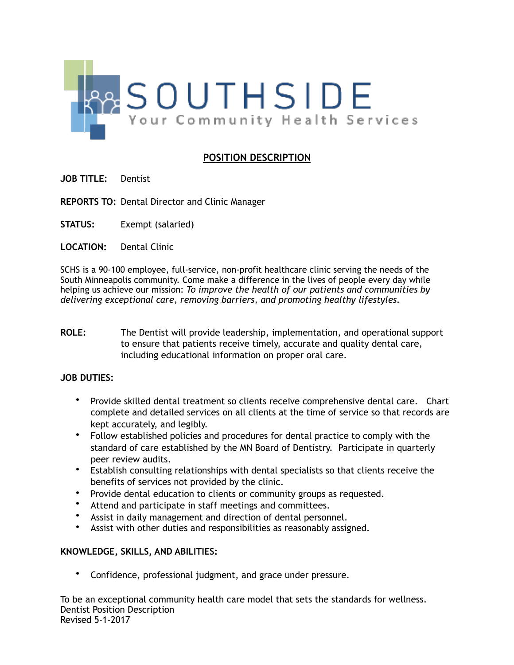

## **POSITION DESCRIPTION**

- **JOB TITLE:** Dentist
- **REPORTS TO:** Dental Director and Clinic Manager
- **STATUS:** Exempt (salaried)
- **LOCATION:** Dental Clinic

SCHS is a 90-100 employee, full-service, non-profit healthcare clinic serving the needs of the South Minneapolis community. Come make a difference in the lives of people every day while helping us achieve our mission: *To improve the health of our patients and communities by delivering exceptional care, removing barriers, and promoting healthy lifestyles.*

**ROLE:** The Dentist will provide leadership, implementation, and operational support to ensure that patients receive timely, accurate and quality dental care, including educational information on proper oral care.

## **JOB DUTIES:**

- Provide skilled dental treatment so clients receive comprehensive dental care. Chart complete and detailed services on all clients at the time of service so that records are kept accurately, and legibly.
- Follow established policies and procedures for dental practice to comply with the standard of care established by the MN Board of Dentistry. Participate in quarterly peer review audits.
- Establish consulting relationships with dental specialists so that clients receive the benefits of services not provided by the clinic.
- Provide dental education to clients or community groups as requested.
- Attend and participate in staff meetings and committees.
- Assist in daily management and direction of dental personnel.
- Assist with other duties and responsibilities as reasonably assigned.

## **KNOWLEDGE, SKILLS, AND ABILITIES:**

• Confidence, professional judgment, and grace under pressure.

To be an exceptional community health care model that sets the standards for wellness. Dentist Position Description Revised 5-1-2017